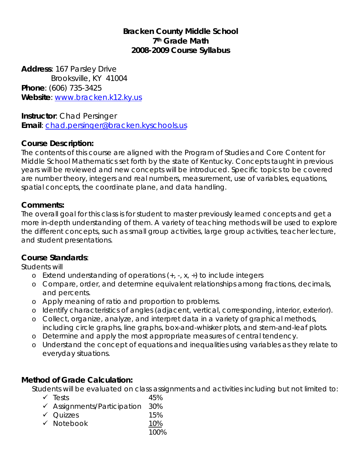# **Bracken County Middle School 7th Grade Math 2008-2009 Course Syllabus**

**Address**: 167 Parsley Drive Brooksville, KY 41004 **Phone**: (606) 735-3425 **Website**: [www.bracken.k12.ky.us](http://www.bracken.k12.ky.us/)

**Instructor**: Chad Persinger **Email**: [chad.persinger@bracken.kyschools.us](mailto:chad.persinger@bracken.kyschools.us)

# **Course Description:**

The contents of this course are aligned with the Program of Studies and Core Content for Middle School Mathematics set forth by the state of Kentucky. Concepts taught in previous years will be reviewed and new concepts will be introduced. Specific topics to be covered are number theory, integers and real numbers, measurement, use of variables, equations, spatial concepts, the coordinate plane, and data handling.

## **Comments:**

The overall goal for this class is for student to master previously learned concepts and get a more in-depth understanding of them. A variety of teaching methods will be used to explore the different concepts, such as small group activities, large group activities, teacher lecture, and student presentations.

## **Course Standards**:

Students will

- o Extend understanding of operations  $(+, -, x, \div)$  to include integers
- o Compare, order, and determine equivalent relationships among fractions, decimals, and percents.
- o Apply meaning of ratio and proportion to problems.
- o Identify characteristics of angles (adjacent, vertical, corresponding, interior, exterior).
- o Collect, organize, analyze, and interpret data in a variety of graphical methods, including circle graphs, line graphs, box-and-whisker plots, and stem-and-leaf plots.
- o Determine and apply the most appropriate measures of central tendency.
- o Understand the concept of equations and inequalities using variables as they relate to everyday situations.

# **Method of Grade Calculation:**

Students will be evaluated on class assignments and activities including but not limited to:

 $\checkmark$  Tests 45%  $\checkmark$  Assignments/Participation 30%  $\checkmark$  Quizzes 15%  $\checkmark$  Notebook 10% 100%